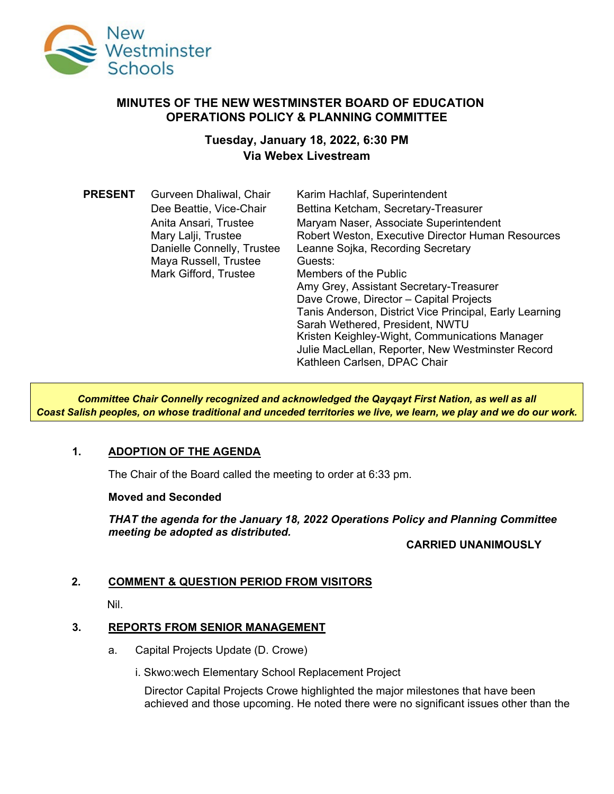

### **MINUTES OF THE NEW WESTMINSTER BOARD OF EDUCATION OPERATIONS POLICY & PLANNING COMMITTEE**

# **Tuesday, January 18, 2022, 6:30 PM Via Webex Livestream**

| <b>PRESENT</b> | Gurveen Dhaliwal, Chair    | Karim Hachlaf, Superintendent                           |
|----------------|----------------------------|---------------------------------------------------------|
|                | Dee Beattie, Vice-Chair    | Bettina Ketcham, Secretary-Treasurer                    |
|                | Anita Ansari, Trustee      | Maryam Naser, Associate Superintendent                  |
|                | Mary Lalji, Trustee        | Robert Weston, Executive Director Human Resources       |
|                | Danielle Connelly, Trustee | Leanne Sojka, Recording Secretary                       |
|                | Maya Russell, Trustee      | Guests:                                                 |
|                | Mark Gifford, Trustee      | Members of the Public                                   |
|                |                            | Amy Grey, Assistant Secretary-Treasurer                 |
|                |                            | Dave Crowe, Director - Capital Projects                 |
|                |                            | Tanis Anderson, District Vice Principal, Early Learning |
|                |                            | Sarah Wethered, President, NWTU                         |
|                |                            | Kristen Keighley-Wight, Communications Manager          |
|                |                            | Julie MacLellan, Reporter, New Westminster Record       |
|                |                            | Kathleen Carlsen, DPAC Chair                            |

*Committee Chair Connelly recognized and acknowledged the Qayqayt First Nation, as well as all Coast Salish peoples, on whose traditional and unceded territories we live, we learn, we play and we do our work.*

## **1. ADOPTION OF THE AGENDA**

The Chair of the Board called the meeting to order at 6:33 pm.

#### **Moved and Seconded**

*THAT the agenda for the January 18, 2022 Operations Policy and Planning Committee meeting be adopted as distributed.*

### **CARRIED UNANIMOUSLY**

### **2. COMMENT & QUESTION PERIOD FROM VISITORS**

Nil.

### **3. REPORTS FROM SENIOR MANAGEMENT**

- a. Capital Projects Update (D. Crowe)
	- i. Skwo:wech Elementary School Replacement Project

Director Capital Projects Crowe highlighted the major milestones that have been achieved and those upcoming. He noted there were no significant issues other than the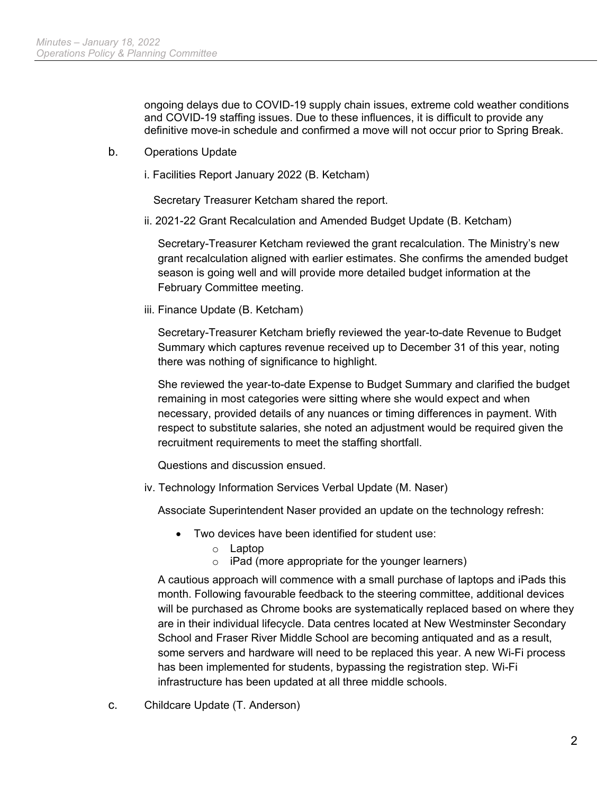ongoing delays due to COVID-19 supply chain issues, extreme cold weather conditions and COVID-19 staffing issues. Due to these influences, it is difficult to provide any definitive move-in schedule and confirmed a move will not occur prior to Spring Break.

- b. Operations Update
	- i. Facilities Report January 2022 (B. Ketcham)

Secretary Treasurer Ketcham shared the report.

ii. 2021-22 Grant Recalculation and Amended Budget Update (B. Ketcham)

Secretary-Treasurer Ketcham reviewed the grant recalculation. The Ministry's new grant recalculation aligned with earlier estimates. She confirms the amended budget season is going well and will provide more detailed budget information at the February Committee meeting.

iii. Finance Update (B. Ketcham)

Secretary-Treasurer Ketcham briefly reviewed the year-to-date Revenue to Budget Summary which captures revenue received up to December 31 of this year, noting there was nothing of significance to highlight.

She reviewed the year-to-date Expense to Budget Summary and clarified the budget remaining in most categories were sitting where she would expect and when necessary, provided details of any nuances or timing differences in payment. With respect to substitute salaries, she noted an adjustment would be required given the recruitment requirements to meet the staffing shortfall.

Questions and discussion ensued.

iv. Technology Information Services Verbal Update (M. Naser)

Associate Superintendent Naser provided an update on the technology refresh:

- Two devices have been identified for student use:
	- o Laptop
	- $\circ$  iPad (more appropriate for the younger learners)

A cautious approach will commence with a small purchase of laptops and iPads this month. Following favourable feedback to the steering committee, additional devices will be purchased as Chrome books are systematically replaced based on where they are in their individual lifecycle. Data centres located at New Westminster Secondary School and Fraser River Middle School are becoming antiquated and as a result, some servers and hardware will need to be replaced this year. A new Wi-Fi process has been implemented for students, bypassing the registration step. Wi-Fi infrastructure has been updated at all three middle schools.

c. Childcare Update (T. Anderson)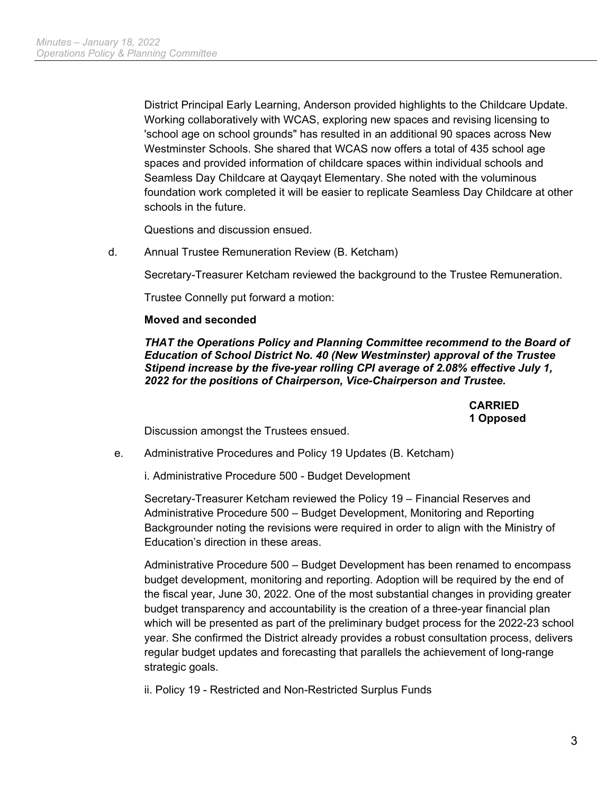District Principal Early Learning, Anderson provided highlights to the Childcare Update. Working collaboratively with WCAS, exploring new spaces and revising licensing to 'school age on school grounds" has resulted in an additional 90 spaces across New Westminster Schools. She shared that WCAS now offers a total of 435 school age spaces and provided information of childcare spaces within individual schools and Seamless Day Childcare at Qayqayt Elementary. She noted with the voluminous foundation work completed it will be easier to replicate Seamless Day Childcare at other schools in the future.

Questions and discussion ensued.

d. Annual Trustee Remuneration Review (B. Ketcham)

Secretary-Treasurer Ketcham reviewed the background to the Trustee Remuneration.

Trustee Connelly put forward a motion:

#### **Moved and seconded**

*THAT the Operations Policy and Planning Committee recommend to the Board of Education of School District No. 40 (New Westminster) approval of the Trustee Stipend increase by the five-year rolling CPI average of 2.08% effective July 1, 2022 for the positions of Chairperson, Vice-Chairperson and Trustee.*

> **CARRIED 1 Opposed**

Discussion amongst the Trustees ensued.

e. Administrative Procedures and Policy 19 Updates (B. Ketcham)

i. Administrative Procedure 500 - Budget Development

Secretary-Treasurer Ketcham reviewed the Policy 19 – Financial Reserves and Administrative Procedure 500 – Budget Development, Monitoring and Reporting Backgrounder noting the revisions were required in order to align with the Ministry of Education's direction in these areas.

Administrative Procedure 500 – Budget Development has been renamed to encompass budget development, monitoring and reporting. Adoption will be required by the end of the fiscal year, June 30, 2022. One of the most substantial changes in providing greater budget transparency and accountability is the creation of a three-year financial plan which will be presented as part of the preliminary budget process for the 2022-23 school year. She confirmed the District already provides a robust consultation process, delivers regular budget updates and forecasting that parallels the achievement of long-range strategic goals.

ii. Policy 19 - Restricted and Non-Restricted Surplus Funds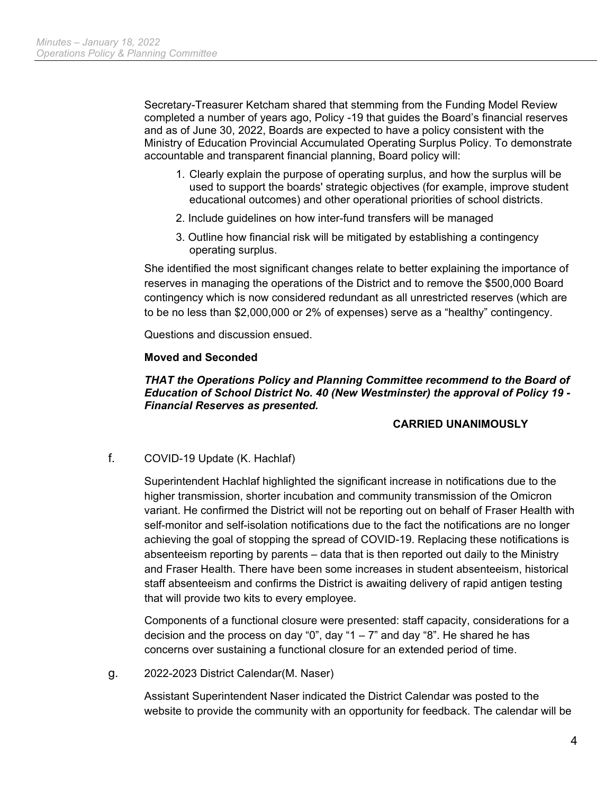Secretary-Treasurer Ketcham shared that stemming from the Funding Model Review completed a number of years ago, Policy -19 that guides the Board's financial reserves and as of June 30, 2022, Boards are expected to have a policy consistent with the Ministry of Education Provincial Accumulated Operating Surplus Policy. To demonstrate accountable and transparent financial planning, Board policy will:

- 1. Clearly explain the purpose of operating surplus, and how the surplus will be used to support the boards' strategic objectives (for example, improve student educational outcomes) and other operational priorities of school districts.
- 2. Include guidelines on how inter-fund transfers will be managed
- 3. Outline how financial risk will be mitigated by establishing a contingency operating surplus.

She identified the most significant changes relate to better explaining the importance of reserves in managing the operations of the District and to remove the \$500,000 Board contingency which is now considered redundant as all unrestricted reserves (which are to be no less than \$2,000,000 or 2% of expenses) serve as a "healthy" contingency.

Questions and discussion ensued.

#### **Moved and Seconded**

#### **THAT the Operations Policy and Planning Committee recommend to the Board of** *Education of School District No. 40 (New Westminster) the approval of Policy 19 - Financial Reserves as presented.*

### **CARRIED UNANIMOUSLY**

f. COVID-19 Update (K. Hachlaf)

Superintendent Hachlaf highlighted the significant increase in notifications due to the higher transmission, shorter incubation and community transmission of the Omicron variant. He confirmed the District will not be reporting out on behalf of Fraser Health with self-monitor and self-isolation notifications due to the fact the notifications are no longer achieving the goal of stopping the spread of COVID-19. Replacing these notifications is absenteeism reporting by parents – data that is then reported out daily to the Ministry and Fraser Health. There have been some increases in student absenteeism, historical staff absenteeism and confirms the District is awaiting delivery of rapid antigen testing that will provide two kits to every employee.

Components of a functional closure were presented: staff capacity, considerations for a decision and the process on day "0", day "1  $-7$ " and day "8". He shared he has concerns over sustaining a functional closure for an extended period of time.

#### g. 2022-2023 District Calendar(M. Naser)

Assistant Superintendent Naser indicated the District Calendar was posted to the website to provide the community with an opportunity for feedback. The calendar will be